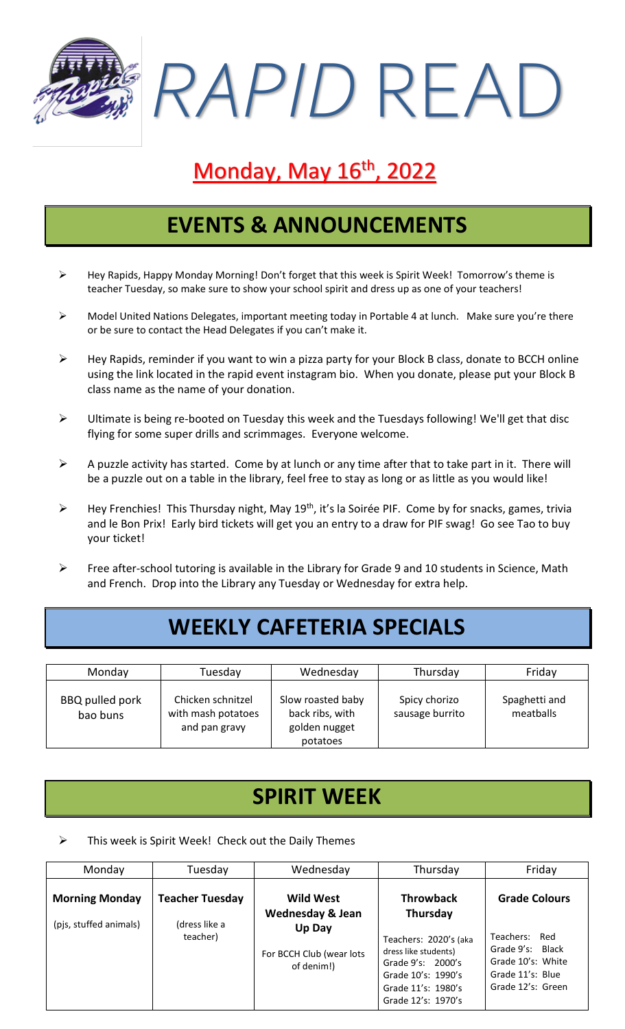*RAPID* READ

# Monday, May 16<sup>th</sup>, 2022

### **EVENTS & ANNOUNCEMENTS**

- ➢ Hey Rapids, Happy Monday Morning! Don't forget that this week is Spirit Week! Tomorrow's theme is teacher Tuesday, so make sure to show your school spirit and dress up as one of your teachers!
- ➢ Model United Nations Delegates, important meeting today in Portable 4 at lunch. Make sure you're there or be sure to contact the Head Delegates if you can't make it.
- ➢ Hey Rapids, reminder if you want to win a pizza party for your Block B class, donate to BCCH online using the link located in the rapid event instagram bio. When you donate, please put your Block B class name as the name of your donation.
- ➢ Ultimate is being re-booted on Tuesday this week and the Tuesdays following! We'll get that disc flying for some super drills and scrimmages. Everyone welcome.
- $\triangleright$  A puzzle activity has started. Come by at lunch or any time after that to take part in it. There will be a puzzle out on a table in the library, feel free to stay as long or as little as you would like!
- ➢ Hey Frenchies! This Thursday night, May 19th, it's la Soirée PIF. Come by for snacks, games, trivia and le Bon Prix! Early bird tickets will get you an entry to a draw for PIF swag! Go see Tao to buy your ticket!
- ➢ Free after-school tutoring is available in the Library for Grade 9 and 10 students in Science, Math and French. Drop into the Library any Tuesday or Wednesday for extra help.

# **WEEKLY CAFETERIA SPECIALS**

| Monday                      | Tuesday                                                  | Wednesday                                                         | Thursday                         | Friday                     |
|-----------------------------|----------------------------------------------------------|-------------------------------------------------------------------|----------------------------------|----------------------------|
| BBQ pulled pork<br>bao buns | Chicken schnitzel<br>with mash potatoes<br>and pan gravy | Slow roasted baby<br>back ribs, with<br>golden nugget<br>potatoes | Spicy chorizo<br>sausage burrito | Spaghetti and<br>meatballs |

### **SPIRIT WEEK**

This week is Spirit Week! Check out the Daily Themes

| Monday                                          | Tuesday                                             | Wednesday                                                                                           | Thursday                                                                                                                                                             | Friday                                                                                                                     |
|-------------------------------------------------|-----------------------------------------------------|-----------------------------------------------------------------------------------------------------|----------------------------------------------------------------------------------------------------------------------------------------------------------------------|----------------------------------------------------------------------------------------------------------------------------|
| <b>Morning Monday</b><br>(pjs, stuffed animals) | <b>Teacher Tuesday</b><br>(dress like a<br>teacher) | <b>Wild West</b><br><b>Wednesday &amp; Jean</b><br>Up Day<br>For BCCH Club (wear lots<br>of denim!) | <b>Throwback</b><br>Thursday<br>Teachers: 2020's (aka<br>dress like students)<br>Grade 9's: 2000's<br>Grade 10's: 1990's<br>Grade 11's: 1980's<br>Grade 12's: 1970's | <b>Grade Colours</b><br>Teachers:<br>Red<br>Grade 9's: Black<br>Grade 10's: White<br>Grade 11's: Blue<br>Grade 12's: Green |